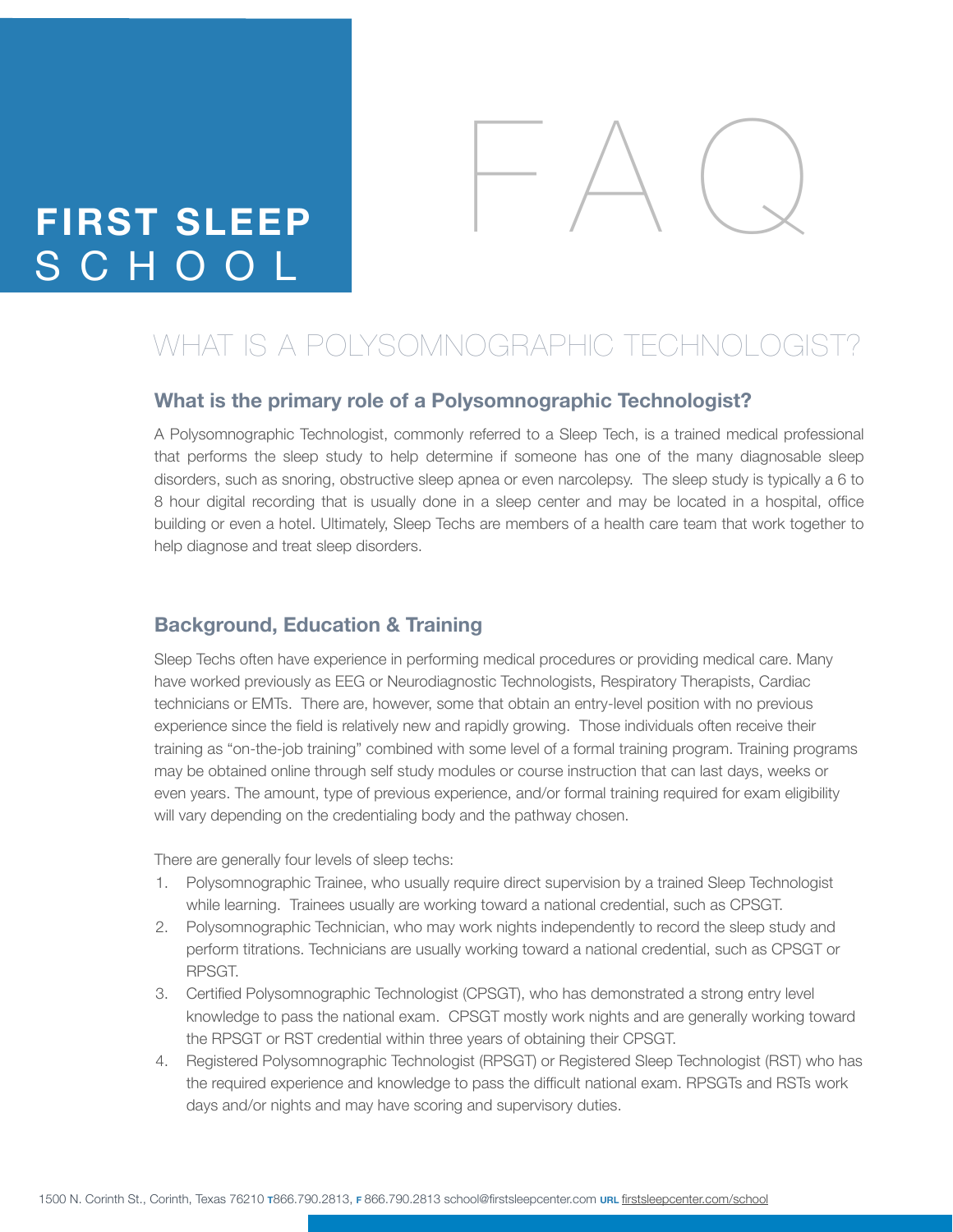# **FIRST SLEEP** SCHOO



# WHAT IS A POLYSOMNOGRAPHIC TECHNOLOGIST?

#### **What is the primary role of a Polysomnographic Technologist?**

A Polysomnographic Technologist, commonly referred to a Sleep Tech, is a trained medical professional that performs the sleep study to help determine if someone has one of the many diagnosable sleep disorders, such as snoring, obstructive sleep apnea or even narcolepsy. The sleep study is typically a 6 to 8 hour digital recording that is usually done in a sleep center and may be located in a hospital, office building or even a hotel. Ultimately, Sleep Techs are members of a health care team that work together to help diagnose and treat sleep disorders.

#### **Background, Education & Training**

Sleep Techs often have experience in performing medical procedures or providing medical care. Many have worked previously as EEG or Neurodiagnostic Technologists, Respiratory Therapists, Cardiac technicians or EMTs. There are, however, some that obtain an entry-level position with no previous experience since the field is relatively new and rapidly growing. Those individuals often receive their training as "on-the-job training" combined with some level of a formal training program. Training programs may be obtained online through self study modules or course instruction that can last days, weeks or even years. The amount, type of previous experience, and/or formal training required for exam eligibility will vary depending on the credentialing body and the pathway chosen.

There are generally four levels of sleep techs:

- 1. Polysomnographic Trainee, who usually require direct supervision by a trained Sleep Technologist while learning. Trainees usually are working toward a national credential, such as CPSGT.
- 2. Polysomnographic Technician, who may work nights independently to record the sleep study and perform titrations. Technicians are usually working toward a national credential, such as CPSGT or RPSGT.
- 3. Certified Polysomnographic Technologist (CPSGT), who has demonstrated a strong entry level knowledge to pass the national exam. CPSGT mostly work nights and are generally working toward the RPSGT or RST credential within three years of obtaining their CPSGT.
- 4. Registered Polysomnographic Technologist (RPSGT) or Registered Sleep Technologist (RST) who has the required experience and knowledge to pass the difficult national exam. RPSGTs and RSTs work days and/or nights and may have scoring and supervisory duties.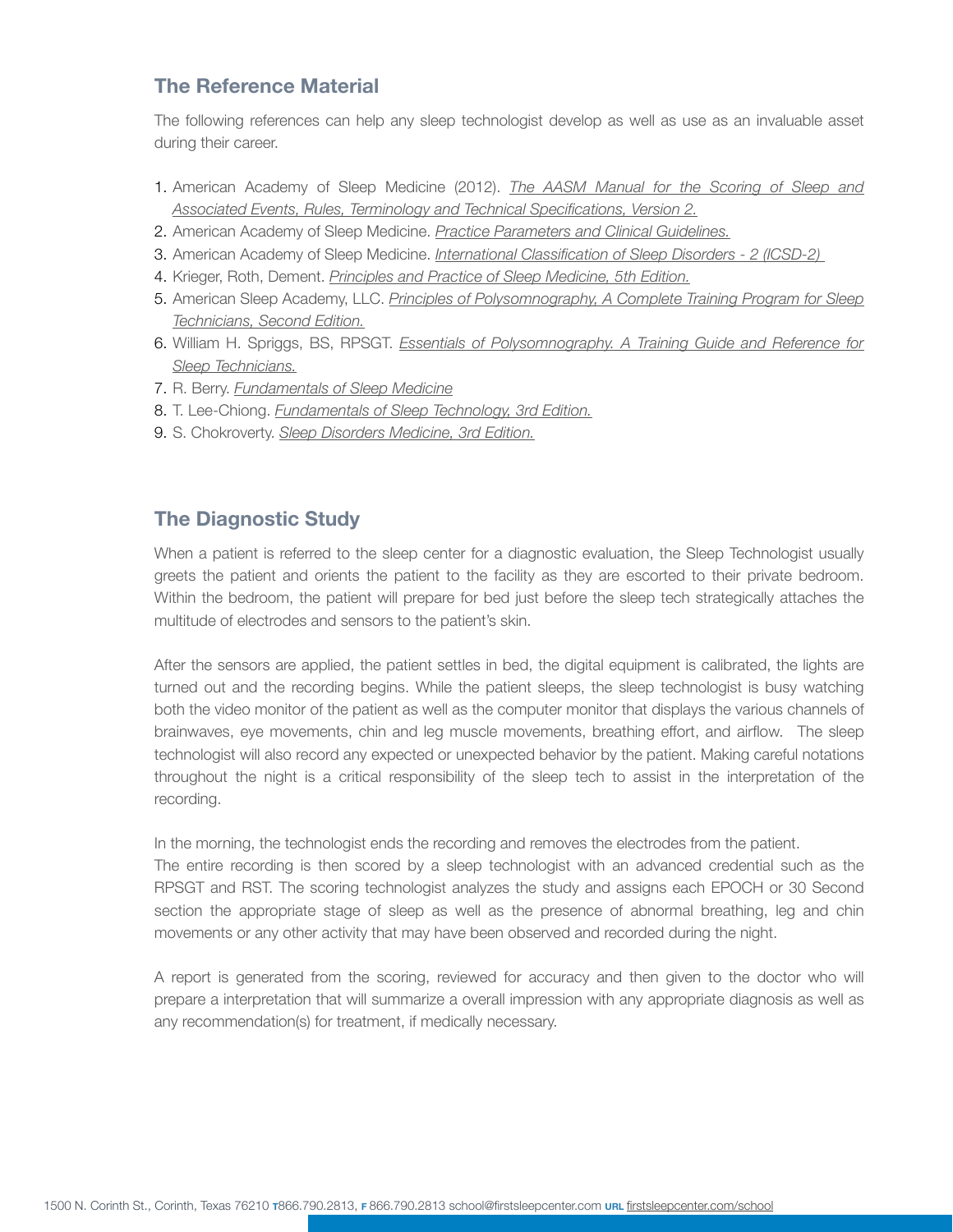#### **The Reference Material**

The following references can help any sleep technologist develop as well as use as an invaluable asset during their career.

- 1. American Academy of Sleep Medicine (2012). *The AASM Manual for the Scoring of Sleep and Associated Events, Rules, Terminology and Technical Specifications, Version 2.*
- 2. American Academy of Sleep Medicine. *Practice Parameters and Clinical Guidelines.*
- 3. American Academy of Sleep Medicine. *International Classification of Sleep Disorders 2 (ICSD-2)*
- 4. Krieger, Roth, Dement. *Principles and Practice of Sleep Medicine, 5th Edition.*
- 5. American Sleep Academy, LLC. *Principles of Polysomnography, A Complete Training Program for Sleep Technicians, Second Edition.*
- 6. William H. Spriggs, BS, RPSGT. *Essentials of Polysomnography. A Training Guide and Reference for Sleep Technicians.*
- 7. R. Berry. *Fundamentals of Sleep Medicine*
- 8. T. Lee-Chiong. *Fundamentals of Sleep Technology, 3rd Edition.*
- 9. S. Chokroverty. *Sleep Disorders Medicine, 3rd Edition.*

#### **The Diagnostic Study**

When a patient is referred to the sleep center for a diagnostic evaluation, the Sleep Technologist usually greets the patient and orients the patient to the facility as they are escorted to their private bedroom. Within the bedroom, the patient will prepare for bed just before the sleep tech strategically attaches the multitude of electrodes and sensors to the patient's skin.

After the sensors are applied, the patient settles in bed, the digital equipment is calibrated, the lights are turned out and the recording begins. While the patient sleeps, the sleep technologist is busy watching both the video monitor of the patient as well as the computer monitor that displays the various channels of brainwaves, eye movements, chin and leg muscle movements, breathing effort, and airflow. The sleep technologist will also record any expected or unexpected behavior by the patient. Making careful notations throughout the night is a critical responsibility of the sleep tech to assist in the interpretation of the recording.

In the morning, the technologist ends the recording and removes the electrodes from the patient. The entire recording is then scored by a sleep technologist with an advanced credential such as the RPSGT and RST. The scoring technologist analyzes the study and assigns each EPOCH or 30 Second section the appropriate stage of sleep as well as the presence of abnormal breathing, leg and chin movements or any other activity that may have been observed and recorded during the night.

A report is generated from the scoring, reviewed for accuracy and then given to the doctor who will prepare a interpretation that will summarize a overall impression with any appropriate diagnosis as well as any recommendation(s) for treatment, if medically necessary.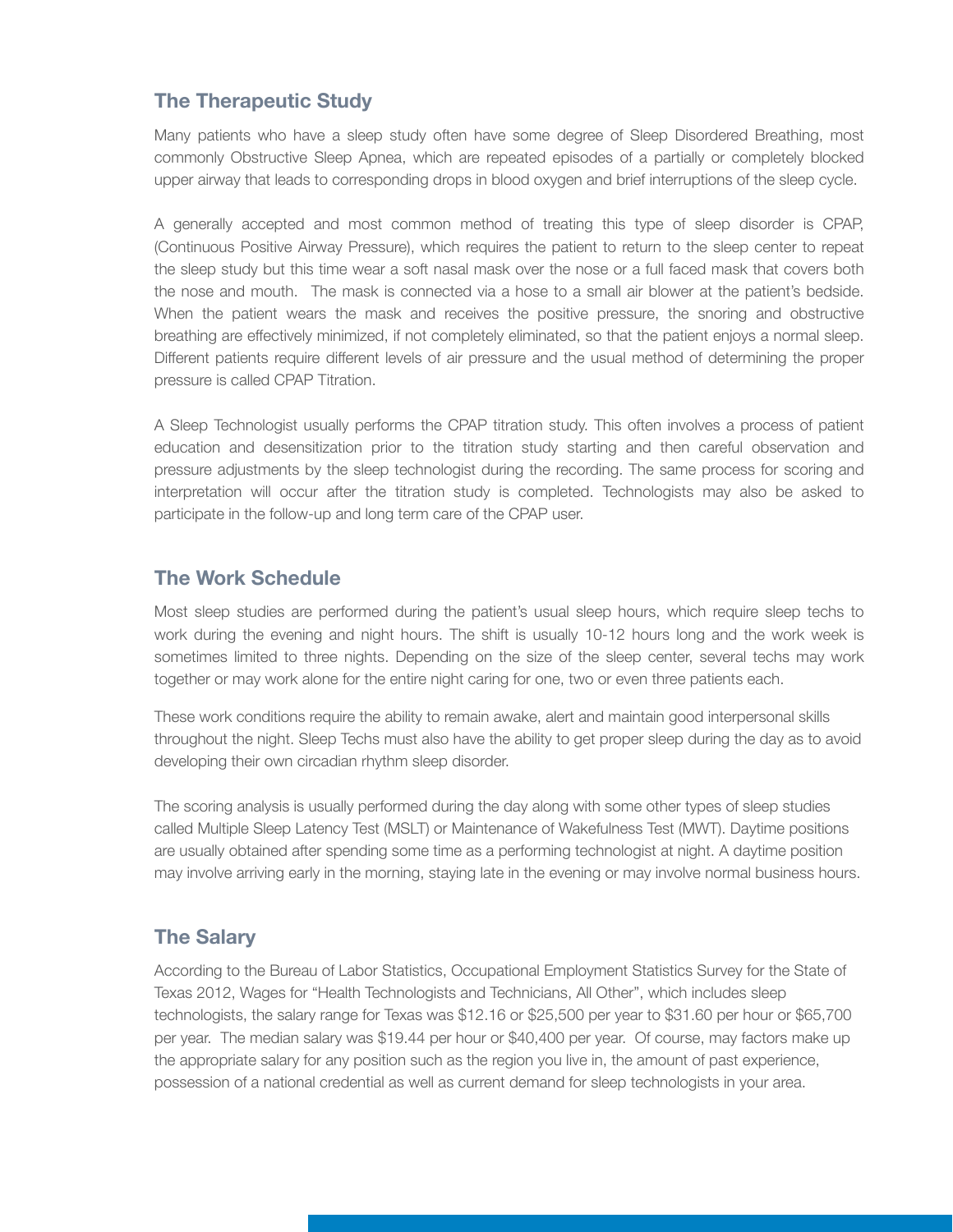### **The Therapeutic Study**

Many patients who have a sleep study often have some degree of Sleep Disordered Breathing, most commonly Obstructive Sleep Apnea, which are repeated episodes of a partially or completely blocked upper airway that leads to corresponding drops in blood oxygen and brief interruptions of the sleep cycle.

A generally accepted and most common method of treating this type of sleep disorder is CPAP, (Continuous Positive Airway Pressure), which requires the patient to return to the sleep center to repeat the sleep study but this time wear a soft nasal mask over the nose or a full faced mask that covers both the nose and mouth. The mask is connected via a hose to a small air blower at the patient's bedside. When the patient wears the mask and receives the positive pressure, the snoring and obstructive breathing are effectively minimized, if not completely eliminated, so that the patient enjoys a normal sleep. Different patients require different levels of air pressure and the usual method of determining the proper pressure is called CPAP Titration.

A Sleep Technologist usually performs the CPAP titration study. This often involves a process of patient education and desensitization prior to the titration study starting and then careful observation and pressure adjustments by the sleep technologist during the recording. The same process for scoring and interpretation will occur after the titration study is completed. Technologists may also be asked to participate in the follow-up and long term care of the CPAP user.

#### **The Work Schedule**

Most sleep studies are performed during the patient's usual sleep hours, which require sleep techs to work during the evening and night hours. The shift is usually 10-12 hours long and the work week is sometimes limited to three nights. Depending on the size of the sleep center, several techs may work together or may work alone for the entire night caring for one, two or even three patients each.

These work conditions require the ability to remain awake, alert and maintain good interpersonal skills throughout the night. Sleep Techs must also have the ability to get proper sleep during the day as to avoid developing their own circadian rhythm sleep disorder.

The scoring analysis is usually performed during the day along with some other types of sleep studies called Multiple Sleep Latency Test (MSLT) or Maintenance of Wakefulness Test (MWT). Daytime positions are usually obtained after spending some time as a performing technologist at night. A daytime position may involve arriving early in the morning, staying late in the evening or may involve normal business hours.

# **The Salary**

According to the Bureau of Labor Statistics, Occupational Employment Statistics Survey for the State of Texas 2012, Wages for "Health Technologists and Technicians, All Other", which includes sleep technologists, the salary range for Texas was \$12.16 or \$25,500 per year to \$31.60 per hour or \$65,700 per year. The median salary was \$19.44 per hour or \$40,400 per year. Of course, may factors make up the appropriate salary for any position such as the region you live in, the amount of past experience, possession of a national credential as well as current demand for sleep technologists in your area.